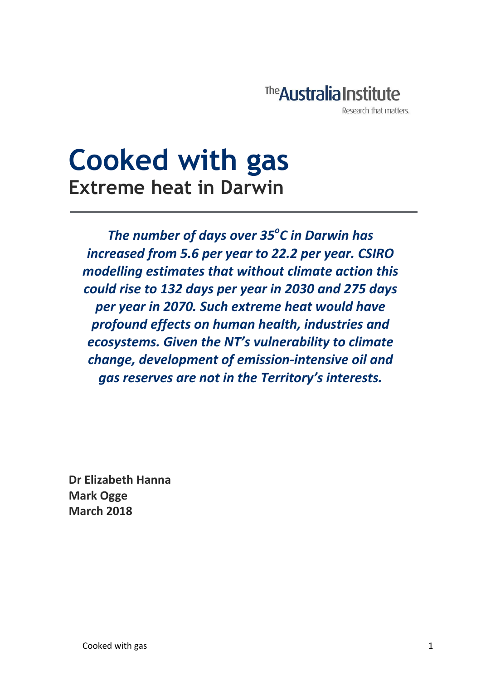

# **Cooked with gas Extreme heat in Darwin**

*The number of days over 35<sup>o</sup> C in Darwin has increased from 5.6 per year to 22.2 per year. CSIRO modelling estimates that without climate action this could rise to 132 days per year in 2030 and 275 days per year in 2070. Such extreme heat would have profound effects on human health, industries and ecosystems. Given the NT's vulnerability to climate change, development of emission-intensive oil and gas reserves are not in the Territory's interests.*

**Dr Elizabeth Hanna Mark Ogge March 2018**

Cooked with gas 1 and 1 and 2 and 2 and 2 and 2 and 2 and 2 and 2 and 2 and 2 and 2 and 2 and 2 and 2 and 2 and 2 and 2 and 2 and 2 and 2 and 2 and 2 and 2 and 2 and 2 and 2 and 2 and 2 and 2 and 2 and 2 and 2 and 2 and 2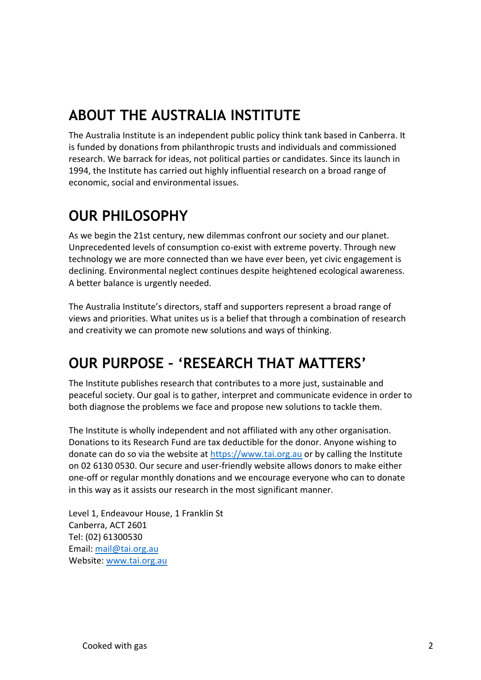### **ABOUT THE AUSTRALIA INSTITUTE**

The Australia Institute is an independent public policy think tank based in Canberra. It is funded by donations from philanthropic trusts and individuals and commissioned research. We barrack for ideas, not political parties or candidates. Since its launch in 1994, the Institute has carried out highly influential research on a broad range of economic, social and environmental issues.

### **OUR PHILOSOPHY**

As we begin the 21st century, new dilemmas confront our society and our planet. Unprecedented levels of consumption co-exist with extreme poverty. Through new technology we are more connected than we have ever been, yet civic engagement is declining. Environmental neglect continues despite heightened ecological awareness. A better balance is urgently needed.

The Australia Institute's directors, staff and supporters represent a broad range of views and priorities. What unites us is a belief that through a combination of research and creativity we can promote new solutions and ways of thinking.

### **OUR PURPOSE – 'RESEARCH THAT MATTERS'**

The Institute publishes research that contributes to a more just, sustainable and peaceful society. Our goal is to gather, interpret and communicate evidence in order to both diagnose the problems we face and propose new solutions to tackle them.

The Institute is wholly independent and not affiliated with any other organisation. Donations to its Research Fund are tax deductible for the donor. Anyone wishing to donate can do so via the website at [https://www.tai.org.au](https://www.tai.org.au/) or by calling the Institute on 02 6130 0530. Our secure and user-friendly website allows donors to make either one-off or regular monthly donations and we encourage everyone who can to donate in this way as it assists our research in the most significant manner.

Level 1, Endeavour House, 1 Franklin St Canberra, ACT 2601 Tel: (02) 61300530 Email[: mail@tai.org.au](mailto:mail@tai.org.au) Website: [www.tai.org.au](http://www.tai.org.au/)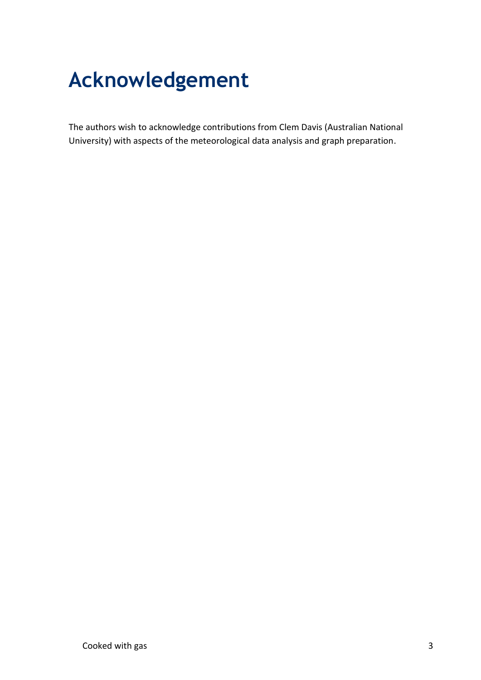# **Acknowledgement**

The authors wish to acknowledge contributions from Clem Davis (Australian National University) with aspects of the meteorological data analysis and graph preparation.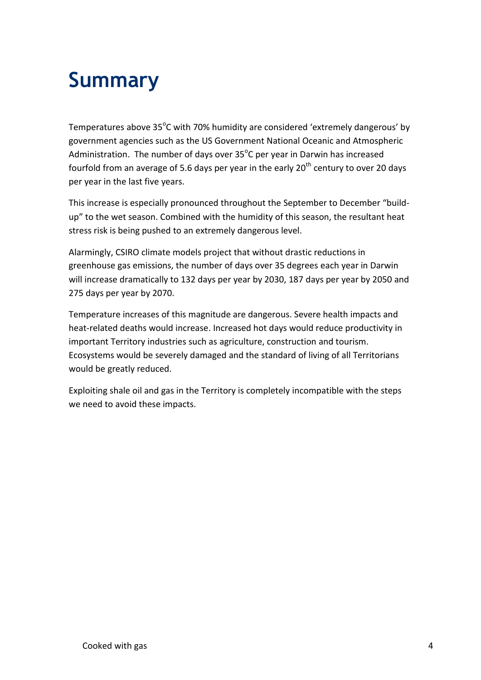## **Summary**

Temperatures above 35 $\mathrm{^o}$ C with 70% humidity are considered 'extremely dangerous' by government agencies such as the US Government National Oceanic and Atmospheric Administration. The number of days over  $35^{\circ}$ C per year in Darwin has increased fourfold from an average of 5.6 days per year in the early  $20<sup>th</sup>$  century to over 20 days per year in the last five years.

This increase is especially pronounced throughout the September to December "buildup" to the wet season. Combined with the humidity of this season, the resultant heat stress risk is being pushed to an extremely dangerous level.

Alarmingly, CSIRO climate models project that without drastic reductions in greenhouse gas emissions, the number of days over 35 degrees each year in Darwin will increase dramatically to 132 days per year by 2030, 187 days per year by 2050 and 275 days per year by 2070.

Temperature increases of this magnitude are dangerous. Severe health impacts and heat-related deaths would increase. Increased hot days would reduce productivity in important Territory industries such as agriculture, construction and tourism. Ecosystems would be severely damaged and the standard of living of all Territorians would be greatly reduced.

Exploiting shale oil and gas in the Territory is completely incompatible with the steps we need to avoid these impacts.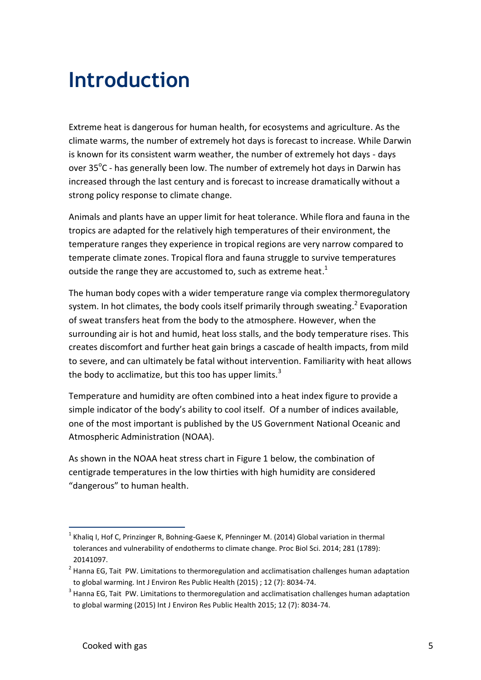### **Introduction**

Extreme heat is dangerous for human health, for ecosystems and agriculture. As the climate warms, the number of extremely hot days is forecast to increase. While Darwin is known for its consistent warm weather, the number of extremely hot days - days over 35°C - has generally been low. The number of extremely hot days in Darwin has increased through the last century and is forecast to increase dramatically without a strong policy response to climate change.

Animals and plants have an upper limit for heat tolerance. While flora and fauna in the tropics are adapted for the relatively high temperatures of their environment, the temperature ranges they experience in tropical regions are very narrow compared to temperate climate zones. Tropical flora and fauna struggle to survive temperatures outside the range they are accustomed to, such as extreme heat.<sup>1</sup>

The human body copes with a wider temperature range via complex thermoregulatory system. In hot climates, the body cools itself primarily through sweating.<sup>2</sup> Evaporation of sweat transfers heat from the body to the atmosphere. However, when the surrounding air is hot and humid, heat loss stalls, and the body temperature rises. This creates discomfort and further heat gain brings a cascade of health impacts, from mild to severe, and can ultimately be fatal without intervention. Familiarity with heat allows the body to acclimatize, but this too has upper limits. $3$ 

Temperature and humidity are often combined into a heat index figure to provide a simple indicator of the body's ability to cool itself. Of a number of indices available, one of the most important is published by the US Government National Oceanic and Atmospheric Administration (NOAA).

As shown in the NOAA heat stress chart in Figure 1 below, the combination of centigrade temperatures in the low thirties with high humidity are considered "dangerous" to human health.

<sup>1</sup> <sup>1</sup> Khaliq I, Hof C, Prinzinger R, Bohning-Gaese K, Pfenninger M. (2014) Global variation in thermal tolerances and vulnerability of endotherms to climate change. Proc Biol Sci. 2014; 281 (1789): 20141097.

 $2$  Hanna EG, Tait PW. Limitations to thermoregulation and acclimatisation challenges human adaptation to global warming. Int J Environ Res Public Health (2015) ; 12 (7): 8034-74.

 $3$  Hanna EG, Tait PW. Limitations to thermoregulation and acclimatisation challenges human adaptation to global warming (2015) Int J Environ Res Public Health 2015; 12 (7): 8034-74.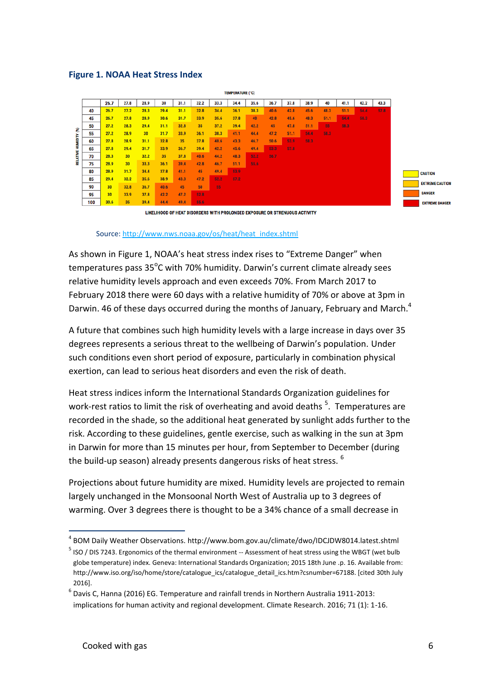#### **Figure 1. NOAA Heat Stress Index**

|                   |     |                 |      |                 |      |      |      |      | <b>TEMPERATURE (°C)</b> |      |      |      |      |      |      |      |      |
|-------------------|-----|-----------------|------|-----------------|------|------|------|------|-------------------------|------|------|------|------|------|------|------|------|
|                   |     | 26.7            | 27.8 | 28.9            | 30   | 31.1 | 32.2 | 33.3 | 34.4                    | 35.6 | 36.7 | 37.8 | 38.9 | 40   | 41.1 | 42.2 | 43.3 |
|                   | 40  | 26.7            | 27.2 | 28.3            | 29.4 | 31.1 | 32.8 | 34.4 | 36.1                    | 38.3 | 40.6 | 42.8 | 45.6 | 48.3 | 51.1 | 54.4 | 57.8 |
|                   | 45  | 26.7            | 27.8 | 28.9            | 30.6 | 31.7 | 33.9 | 35.6 | 37.8                    | 40   | 42.8 | 45.6 | 48.3 | 51.1 | 54.4 | 58.3 |      |
|                   | 50  | 27.2            | 28.3 | 29.4            | 31.1 | 32.8 | 35   | 37.2 | 39.4                    | 42.2 | 45   | 47.8 | 51.1 | 55   | 58.3 |      |      |
| ε                 | 55  | 27.2            | 28.9 | 30 <sub>2</sub> | 31.7 | 33.9 | 36.1 | 38.3 | 41.1                    | 44.4 | 47.2 | 51.1 | 54.4 | 58.3 |      |      |      |
|                   | 60  | 27.8            | 28.9 | 31.1            | 32.8 | 35   | 37.8 | 40.6 | 43.3                    | 46.7 | 50.6 | 53.9 | 58.3 |      |      |      |      |
|                   | 65  | 27.8            | 29.4 | 31.7            | 33.9 | 36.7 | 39.4 | 42.2 | 45.6                    | 49.4 | 53.3 | 57.8 |      |      |      |      |      |
| RELATIVE HUMIDITY | 70  | 28.3            | 30   | 32.2            | 35   | 37.8 | 40.6 | 44.2 | 48.3                    | 52.2 | 56.7 |      |      |      |      |      |      |
|                   | 75  | 28.9            | 30   | 33.3            | 36.1 | 39.4 | 42.8 | 46.7 | 51.1                    | 55.6 |      |      |      |      |      |      |      |
|                   | 80  | 28.9            | 31.7 | 34.4            | 37.8 | 41.1 | 45   | 49.4 | 53.9                    |      |      |      |      |      |      |      |      |
|                   | 85  | 29.4            | 32.2 | 35.6            | 38.9 | 43.3 | 47.2 | 52.2 | 57.2                    |      |      |      |      |      |      |      |      |
|                   | 90  | 30 <sub>2</sub> | 32.8 | 36.7            | 40.6 | 45   | 50   | 55   |                         |      |      |      |      |      |      |      |      |
|                   | 95  | 30              | 33.9 | 37.8            | 42.2 | 47.2 | 52.8 |      |                         |      |      |      |      |      |      |      |      |
|                   | 100 | 30.6            | 35   | 39.4            | 44.4 | 49.4 | 55.6 |      |                         |      |      |      |      |      |      |      |      |

LIKELIHOOD OF HEAT DISORDERS WITH PROLONGED EXPOSURE OR STRENUOUS ACTIVITY

#### Source: [http://www.nws.noaa.gov/os/heat/heat\\_index.shtml](http://www.nws.noaa.gov/os/heat/heat_index.shtml)

As shown in Figure 1, NOAA's heat stress index rises to "Extreme Danger" when temperatures pass  $35^{\circ}$ C with 70% humidity. Darwin's current climate already sees relative humidity levels approach and even exceeds 70%. From March 2017 to February 2018 there were 60 days with a relative humidity of 70% or above at 3pm in Darwin. 46 of these days occurred during the months of January, February and March.<sup>4</sup>

A future that combines such high humidity levels with a large increase in days over 35 degrees represents a serious threat to the wellbeing of Darwin's population. Under such conditions even short period of exposure, particularly in combination physical exertion, can lead to serious heat disorders and even the risk of death.

Heat stress indices inform the International Standards Organization guidelines for work-rest ratios to limit the risk of overheating and avoid deaths <sup>5</sup>. Temperatures are recorded in the shade, so the additional heat generated by sunlight adds further to the risk. According to these guidelines, gentle exercise, such as walking in the sun at 3pm in Darwin for more than 15 minutes per hour, from September to December (during the build-up season) already presents dangerous risks of heat stress. <sup>6</sup>

Projections about future humidity are mixed. Humidity levels are projected to remain largely unchanged in the Monsoonal North West of Australia up to 3 degrees of warming. Over 3 degrees there is thought to be a 34% chance of a small decrease in

**CAUTION EXTREME CAUTION DANGER EXTREME DANGER** 

 4 BOM Daily Weather Observations. http://www.bom.gov.au/climate/dwo/IDCJDW8014.latest.shtml

<sup>&</sup>lt;sup>5</sup> ISO / DIS 7243. Ergonomics of the thermal environment -- Assessment of heat stress using the WBGT (wet bulb globe temperature) index. Geneva: International Standards Organization; 2015 18th June .p. 16. Available from: http://www.iso.org/iso/home/store/catalogue\_ics/catalogue\_detail\_ics.htm?csnumber=67188. [cited 30th July 2016].

 $<sup>6</sup>$  Davis C, Hanna (2016) EG. Temperature and rainfall trends in Northern Australia 1911-2013:</sup> implications for human activity and regional development. Climate Research. 2016; 71 (1): 1-16.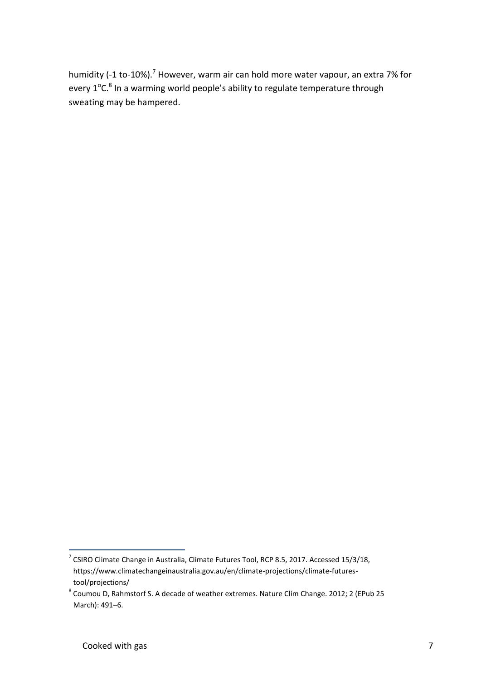humidity (-1 to-10%).<sup>7</sup> However, warm air can hold more water vapour, an extra 7% for every  $1^{\circ}$ C.<sup>8</sup> In a warming world people's ability to regulate temperature through sweating may be hampered.

 7 CSIRO Climate Change in Australia, Climate Futures Tool, RCP 8.5, 2017. Accessed 15/3/18, https://www.climatechangeinaustralia.gov.au/en/climate-projections/climate-futurestool/projections/

<sup>8</sup> Coumou D, Rahmstorf S. A decade of weather extremes. Nature Clim Change. 2012; 2 (EPub 25 March): 491–6.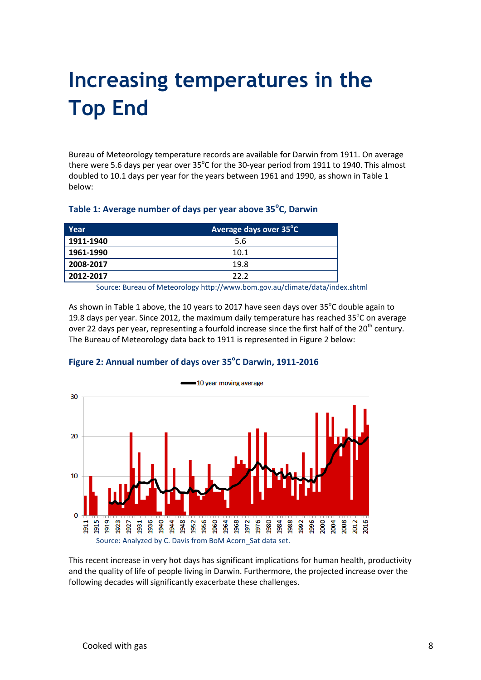# **Increasing temperatures in the Top End**

Bureau of Meteorology temperature records are available for Darwin from 1911. On average there were 5.6 days per year over  $35^{\circ}$ C for the 30-year period from 1911 to 1940. This almost doubled to 10.1 days per year for the years between 1961 and 1990, as shown in Table 1 below:

#### **Table 1: Average number of days per year above 35<sup>o</sup> C, Darwin**

| Year      | Average days over 35°C |
|-----------|------------------------|
| 1911-1940 | 5.6                    |
| 1961-1990 | 10.1                   |
| 2008-2017 | 19.8                   |
| 2012-2017 | 22 Z                   |

Source: Bureau of Meteorology http://www.bom.gov.au/climate/data/index.shtml

As shown in Table 1 above, the 10 years to 2017 have seen days over 35 $^{\circ}$ C double again to 19.8 days per year. Since 2012, the maximum daily temperature has reached 35 $^{\circ}$ C on average over 22 days per year, representing a fourfold increase since the first half of the  $20<sup>th</sup>$  century. The Bureau of Meteorology data back to 1911 is represented in Figure 2 below:



#### **Figure 2: Annual number of days over 35<sup>o</sup> C Darwin, 1911-2016**

This recent increase in very hot days has significant implications for human health, productivity and the quality of life of people living in Darwin. Furthermore, the projected increase over the following decades will significantly exacerbate these challenges.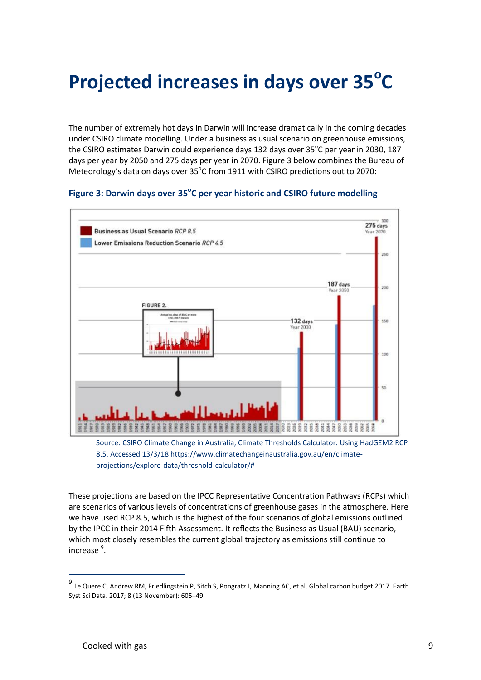## **Projected increases in days over 35<sup>o</sup> C**

The number of extremely hot days in Darwin will increase dramatically in the coming decades under CSIRO climate modelling. Under a business as usual scenario on greenhouse emissions, the CSIRO estimates Darwin could experience days 132 days over 35°C per year in 2030, 187 days per year by 2050 and 275 days per year in 2070. Figure 3 below combines the Bureau of Meteorology's data on days over 35°C from 1911 with CSIRO predictions out to 2070:

#### Figure 3: Darwin days over 35<sup>°</sup>C per year historic and CSIRO future modelling



Source: CSIRO Climate Change in Australia, Climate Thresholds Calculator. Using HadGEM2 RCP 8.5. Accessed 13/3/18 https://www.climatechangeinaustralia.gov.au/en/climateprojections/explore-data/threshold-calculator/#

These projections are based on the IPCC Representative Concentration Pathways (RCPs) which are scenarios of various levels of concentrations of greenhouse gases in the atmosphere. Here we have used RCP 8.5, which is the highest of the four scenarios of global emissions outlined by the IPCC in their 2014 Fifth Assessment. It reflects the Business as Usual (BAU) scenario, which most closely resembles the current global trajectory as emissions still continue to increase<sup>9</sup>.

1

<sup>9</sup> Le Quere C, Andrew RM, Friedlingstein P, Sitch S, Pongratz J, Manning AC, et al. Global carbon budget 2017. Earth Syst Sci Data. 2017; 8 (13 November): 605–49.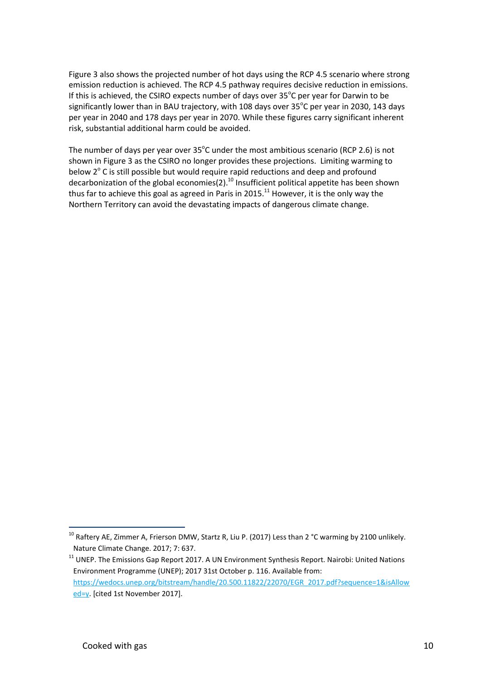Figure 3 also shows the projected number of hot days using the RCP 4.5 scenario where strong emission reduction is achieved. The RCP 4.5 pathway requires decisive reduction in emissions. If this is achieved, the CSIRO expects number of days over 35°C per year for Darwin to be significantly lower than in BAU trajectory, with 108 days over  $35^{\circ}$ C per year in 2030, 143 days per year in 2040 and 178 days per year in 2070. While these figures carry significant inherent risk, substantial additional harm could be avoided.

The number of days per year over  $35^{\circ}$ C under the most ambitious scenario (RCP 2.6) is not shown in Figure 3 as the CSIRO no longer provides these projections. Limiting warming to below  $2^{\circ}$  C is still possible but would require rapid reductions and deep and profound decarbonization of the global economies(2).<sup>10</sup> Insufficient political appetite has been shown thus far to achieve this goal as agreed in Paris in 2015. $^{11}$  However, it is the only way the Northern Territory can avoid the devastating impacts of dangerous climate change.

<sup>1</sup>  $^{10}$  Raftery AE, Zimmer A, Frierson DMW, Startz R, Liu P. (2017) Less than 2 °C warming by 2100 unlikely. Nature Climate Change. 2017; 7: 637.

 $11$  UNEP. The Emissions Gap Report 2017. A UN Environment Synthesis Report. Nairobi: United Nations Environment Programme (UNEP); 2017 31st October p. 116. Available from: [https://wedocs.unep.org/bitstream/handle/20.500.11822/22070/EGR\\_2017.pdf?sequence=1&isAllow](https://wedocs.unep.org/bitstream/handle/20.500.11822/22070/EGR_2017.pdf?sequence=1&isAllowed=y) [ed=y.](https://wedocs.unep.org/bitstream/handle/20.500.11822/22070/EGR_2017.pdf?sequence=1&isAllowed=y) [cited 1st November 2017].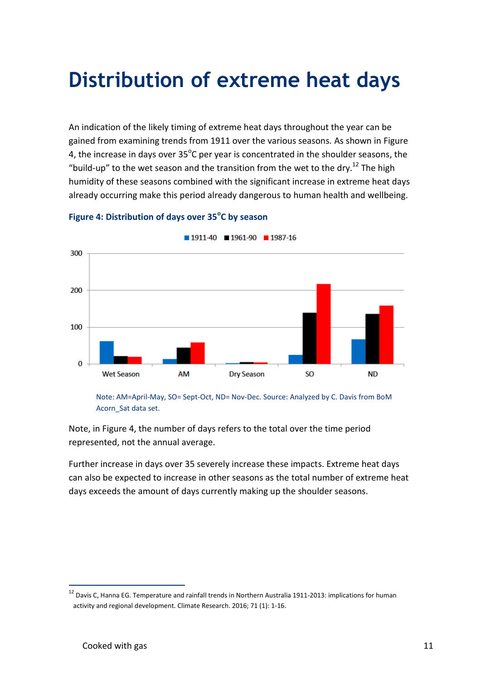### **Distribution of extreme heat days**

An indication of the likely timing of extreme heat days throughout the year can be gained from examining trends from 1911 over the various seasons. As shown in Figure 4, the increase in days over  $35^{\circ}$ C per year is concentrated in the shoulder seasons, the "build-up" to the wet season and the transition from the wet to the dry. $^{12}$  The high humidity of these seasons combined with the significant increase in extreme heat days already occurring make this period already dangerous to human health and wellbeing.



#### **Figure 4: Distribution of days over 35<sup>o</sup> C by season**

Note: AM=April-May, SO= Sept-Oct, ND= Nov-Dec. Source: Analyzed by C. Davis from BoM Acorn\_Sat data set.

Note, in Figure 4, the number of days refers to the total over the time period represented, not the annual average.

Further increase in days over 35 severely increase these impacts. Extreme heat days can also be expected to increase in other seasons as the total number of extreme heat days exceeds the amount of days currently making up the shoulder seasons.

1

 $^{12}$  Davis C, Hanna EG. Temperature and rainfall trends in Northern Australia 1911-2013: implications for human activity and regional development. Climate Research. 2016; 71 (1): 1-16.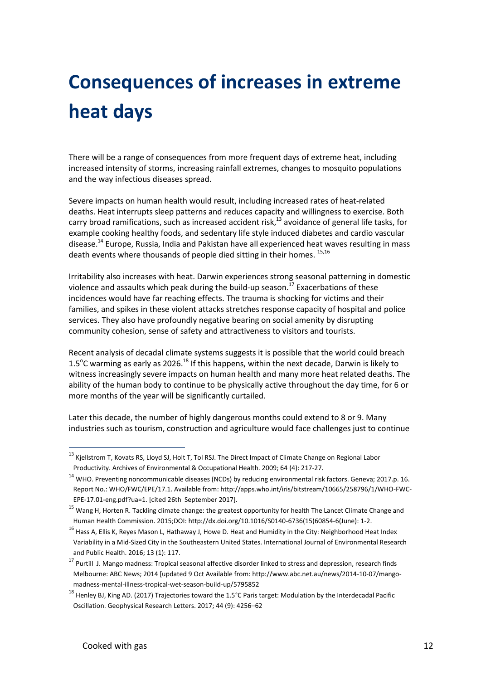# **Consequences of increases in extreme heat days**

There will be a range of consequences from more frequent days of extreme heat, including increased intensity of storms, increasing rainfall extremes, changes to mosquito populations and the way infectious diseases spread.

Severe impacts on human health would result, including increased rates of heat-related deaths. Heat interrupts sleep patterns and reduces capacity and willingness to exercise. Both carry broad ramifications, such as increased accident risk,<sup>13</sup> avoidance of general life tasks, for example cooking healthy foods, and sedentary life style induced diabetes and cardio vascular disease.<sup>14</sup> Europe, Russia, India and Pakistan have all experienced heat waves resulting in mass death events where thousands of people died sitting in their homes.  $^{15,16}$ 

Irritability also increases with heat. Darwin experiences strong seasonal patterning in domestic violence and assaults which peak during the build-up season.<sup>17</sup> Exacerbations of these incidences would have far reaching effects. The trauma is shocking for victims and their families, and spikes in these violent attacks stretches response capacity of hospital and police services. They also have profoundly negative bearing on social amenity by disrupting community cohesion, sense of safety and attractiveness to visitors and tourists.

Recent analysis of decadal climate systems suggests it is possible that the world could breach 1.5<sup>o</sup>C warming as early as 2026.<sup>18</sup> If this happens, within the next decade, Darwin is likely to witness increasingly severe impacts on human health and many more heat related deaths. The ability of the human body to continue to be physically active throughout the day time, for 6 or more months of the year will be significantly curtailed.

Later this decade, the number of highly dangerous months could extend to 8 or 9. Many industries such as tourism, construction and agriculture would face challenges just to continue

1

<sup>&</sup>lt;sup>13</sup> Kjellstrom T, Kovats RS, Lloyd SJ, Holt T, Tol RSJ. The Direct Impact of Climate Change on Regional Labor Productivity. Archives of Environmental & Occupational Health. 2009; 64 (4): 217-27.

<sup>&</sup>lt;sup>14</sup> WHO. Preventing noncommunicable diseases (NCDs) by reducing environmental risk factors. Geneva; 2017.p. 16. Report No.: WHO/FWC/EPE/17.1. Available from: http://apps.who.int/iris/bitstream/10665/258796/1/WHO-FWC-EPE-17.01-eng.pdf?ua=1. [cited 26th September 2017].

<sup>&</sup>lt;sup>15</sup> Wang H, Horten R. Tackling climate change: the greatest opportunity for health The Lancet Climate Change and Human Health Commission. 2015;DOI: http://dx.doi.org/10.1016/S0140-6736(15)60854-6(June): 1-2.

<sup>&</sup>lt;sup>16</sup> Hass A, Ellis K, Reyes Mason L, Hathaway J, Howe D. Heat and Humidity in the City: Neighborhood Heat Index Variability in a Mid-Sized City in the Southeastern United States. International Journal of Environmental Research and Public Health. 2016; 13 (1): 117.

<sup>&</sup>lt;sup>17</sup> Purtill J. Mango madness: Tropical seasonal affective disorder linked to stress and depression, research finds Melbourne: ABC News; 2014 [updated 9 Oct Available from: http://www.abc.net.au/news/2014-10-07/mangomadness-mental-illness-tropical-wet-season-build-up/5795852

 $^{18}$  Henley BJ, King AD. (2017) Trajectories toward the 1.5°C Paris target: Modulation by the Interdecadal Pacific Oscillation. Geophysical Research Letters. 2017; 44 (9): 4256–62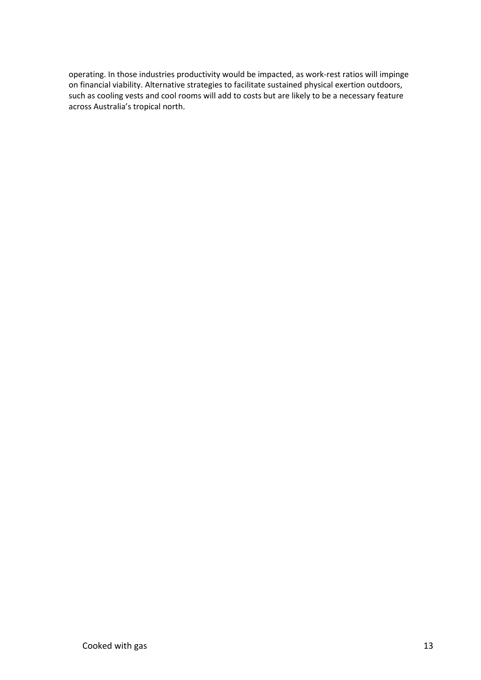operating. In those industries productivity would be impacted, as work-rest ratios will impinge on financial viability. Alternative strategies to facilitate sustained physical exertion outdoors, such as cooling vests and cool rooms will add to costs but are likely to be a necessary feature across Australia's tropical north.